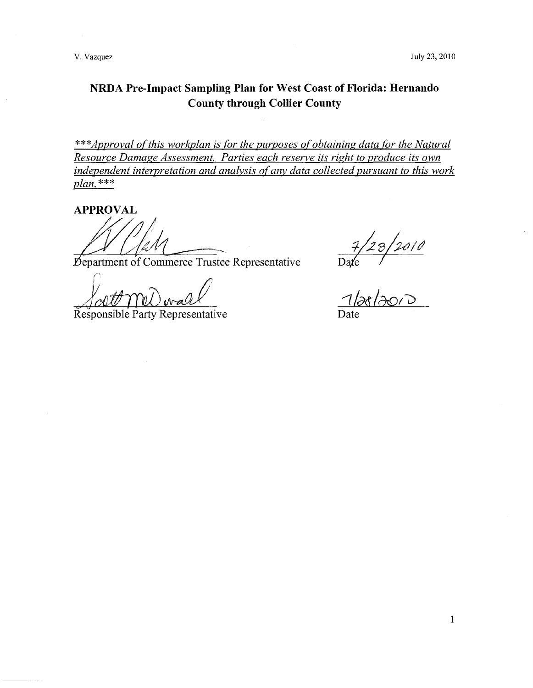# **NRDA Pre-Impact Sampling Plan for West Coast of Florida: Hernando County through Collier County**

\*\*\*Approval of this workplan is for the purposes of obtaining data for the Natural *Resource Damage Assessment. Parties each reserve its right to produce its own independent interpretation and analysis of any data collected pursuant to this work plan.* \*\*\*

**APPROVAL** 

Department of Commerce Trustee Representative

Responsible Party Representative

 $\frac{7}{28}/2010$ <br>Oate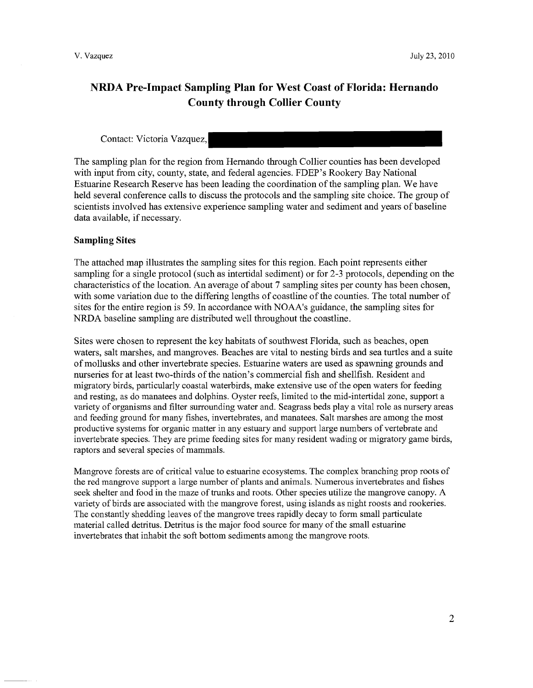## **NRDA Pre-Impact Sampling Plan for West Coast of Florida: Hernando County through Collier County**

## Contact: Victoria Vazquez,

The sampling plan for the region from Hernando through Collier counties has been developed with input from city, county, state, and federal agencies. FDEP's Rookery Bay National Estuarine Research Reserve has been leading the coordination of the sampling plan. We have held several conference calls to discuss the protocols and the sampling site choice. The group of scientists involved has extensive experience sampling water and sediment and years of baseline data available, if necessary.

### **Sampling Sites**

The attached map illustrates the sampling sites for this region. Each point represents either sampling for a single protocol (such as intertidal sediment) or for 2-3 protocols, depending on the characteristics of the location. An average of about 7 sampling sites per county has been chosen, with some variation due to the differing lengths of coastline of the counties. The total number of sites for the entire region is 59. In accordance with NOAA's guidance, the sampling sites for NRDA baseline sampling are distributed well throughout the coastline.

Sites were chosen to represent the key habitats of southwest Florida, such as beaches, open waters, salt marshes, and mangroves. Beaches are vital to nesting birds and sea turtles and a suite of mollusks and other invertebrate species. Estuarine waters are used as spawning grounds and nurseries for at least two-thirds of the nation's commercial fish and shellfish. Resident and migratory birds, particularly coastal waterbirds, make extensive use of the open waters for feeding and resting, as do manatees and dolphins. Oyster reefs, limited to the mid-intertidal zone, support a variety of organisms and filter surrounding water and. Seagrass beds playa vital role as nursery areas and feeding ground for many fishes, invertebrates, and manatees. Salt marshes are among the most productive systems for organic matter in any estuary and support large numbers of vertebrate and invertebrate species. They are prime feeding sites for many resident wading or migratory game birds, raptors and several species of mammals.

Mangrove forests are of critical value to estuarine ecosystems. The complex branching prop roots of the red mangrove support a large number of plants and animals. Numerous invertebrates and fishes seek shelter and food in the maze of trunks and roots. Other species utilize the mangrove canopy. A variety of birds are associated with the mangrove forest, using islands as night roosts and rookeries. The constantly shedding leaves of the mangrove trees rapidly decay to form small particulate material called detritus. Detritus is the major food source for many of the small estuarine invertebrates that inhabit the soft bottom sediments among the mangrove roots.